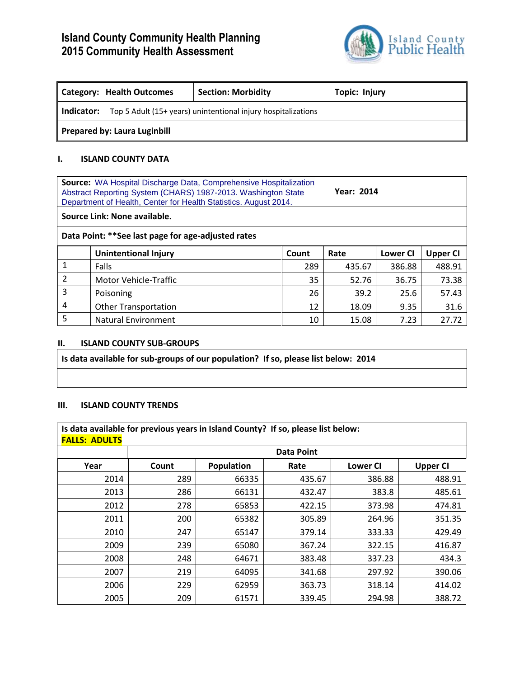

| Category: Health Outcomes                                                   | <b>Section: Morbidity</b> | Topic: Injury |  |  |  |  |
|-----------------------------------------------------------------------------|---------------------------|---------------|--|--|--|--|
| Top 5 Adult (15+ years) unintentional injury hospitalizations<br>Indicator: |                           |               |  |  |  |  |
| <b>Prepared by: Laura Luginbill</b>                                         |                           |               |  |  |  |  |

### **I. ISLAND COUNTY DATA**

|                | Source: WA Hospital Discharge Data, Comprehensive Hospitalization<br>Abstract Reporting System (CHARS) 1987-2013. Washington State<br>Department of Health, Center for Health Statistics. August 2014. |       |        | <b>Year: 2014</b> |                 |
|----------------|--------------------------------------------------------------------------------------------------------------------------------------------------------------------------------------------------------|-------|--------|-------------------|-----------------|
|                | Source Link: None available.                                                                                                                                                                           |       |        |                   |                 |
|                | Data Point: ** See last page for age-adjusted rates                                                                                                                                                    |       |        |                   |                 |
|                | Unintentional Injury                                                                                                                                                                                   | Count | Rate   | <b>Lower CI</b>   | <b>Upper CI</b> |
| 1              | Falls                                                                                                                                                                                                  | 289   | 435.67 | 386.88            | 488.91          |
| $\overline{2}$ | Motor Vehicle-Traffic                                                                                                                                                                                  | 35    | 52.76  | 36.75             | 73.38           |
| 3              | Poisoning                                                                                                                                                                                              | 26    | 39.2   | 25.6              | 57.43           |
| 4              | <b>Other Transportation</b>                                                                                                                                                                            | 12    | 18.09  | 9.35              | 31.6            |
| 5              | Natural Environment                                                                                                                                                                                    | 10    | 15.08  | 7.23              | 27.72           |

### **II. ISLAND COUNTY SUB-GROUPS**

**Is data available for sub-groups of our population? If so, please list below: 2014**

#### **III. ISLAND COUNTY TRENDS**

**Is data available for previous years in Island County? If so, please list below: FALLS: ADULTS**

|      | <b>Data Point</b> |                   |        |                 |                 |
|------|-------------------|-------------------|--------|-----------------|-----------------|
| Year | Count             | <b>Population</b> | Rate   | <b>Lower Cl</b> | <b>Upper CI</b> |
| 2014 | 289               | 66335             | 435.67 | 386.88          | 488.91          |
| 2013 | 286               | 66131             | 432.47 | 383.8           | 485.61          |
| 2012 | 278               | 65853             | 422.15 | 373.98          | 474.81          |
| 2011 | 200               | 65382             | 305.89 | 264.96          | 351.35          |
| 2010 | 247               | 65147             | 379.14 | 333.33          | 429.49          |
| 2009 | 239               | 65080             | 367.24 | 322.15          | 416.87          |
| 2008 | 248               | 64671             | 383.48 | 337.23          | 434.3           |
| 2007 | 219               | 64095             | 341.68 | 297.92          | 390.06          |
| 2006 | 229               | 62959             | 363.73 | 318.14          | 414.02          |
| 2005 | 209               | 61571             | 339.45 | 294.98          | 388.72          |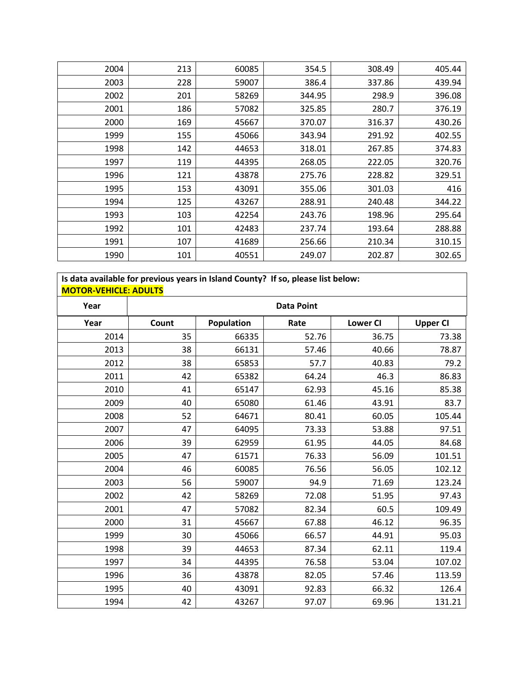| 2004 | 213 | 60085 | 354.5  | 308.49 | 405.44 |
|------|-----|-------|--------|--------|--------|
| 2003 | 228 | 59007 | 386.4  | 337.86 | 439.94 |
| 2002 | 201 | 58269 | 344.95 | 298.9  | 396.08 |
| 2001 | 186 | 57082 | 325.85 | 280.7  | 376.19 |
| 2000 | 169 | 45667 | 370.07 | 316.37 | 430.26 |
| 1999 | 155 | 45066 | 343.94 | 291.92 | 402.55 |
| 1998 | 142 | 44653 | 318.01 | 267.85 | 374.83 |
| 1997 | 119 | 44395 | 268.05 | 222.05 | 320.76 |
| 1996 | 121 | 43878 | 275.76 | 228.82 | 329.51 |
| 1995 | 153 | 43091 | 355.06 | 301.03 | 416    |
| 1994 | 125 | 43267 | 288.91 | 240.48 | 344.22 |
| 1993 | 103 | 42254 | 243.76 | 198.96 | 295.64 |
| 1992 | 101 | 42483 | 237.74 | 193.64 | 288.88 |
| 1991 | 107 | 41689 | 256.66 | 210.34 | 310.15 |
| 1990 | 101 | 40551 | 249.07 | 202.87 | 302.65 |

### **Is data available for previous years in Island County? If so, please list below: MOTOR-VEHICLE: ADULTS**

| Year | <b>Data Point</b> |            |       |                 |                 |
|------|-------------------|------------|-------|-----------------|-----------------|
| Year | Count             | Population | Rate  | <b>Lower CI</b> | <b>Upper CI</b> |
| 2014 | 35                | 66335      | 52.76 | 36.75           | 73.38           |
| 2013 | 38                | 66131      | 57.46 | 40.66           | 78.87           |
| 2012 | 38                | 65853      | 57.7  | 40.83           | 79.2            |
| 2011 | 42                | 65382      | 64.24 | 46.3            | 86.83           |
| 2010 | 41                | 65147      | 62.93 | 45.16           | 85.38           |
| 2009 | 40                | 65080      | 61.46 | 43.91           | 83.7            |
| 2008 | 52                | 64671      | 80.41 | 60.05           | 105.44          |
| 2007 | 47                | 64095      | 73.33 | 53.88           | 97.51           |
| 2006 | 39                | 62959      | 61.95 | 44.05           | 84.68           |
| 2005 | 47                | 61571      | 76.33 | 56.09           | 101.51          |
| 2004 | 46                | 60085      | 76.56 | 56.05           | 102.12          |
| 2003 | 56                | 59007      | 94.9  | 71.69           | 123.24          |
| 2002 | 42                | 58269      | 72.08 | 51.95           | 97.43           |
| 2001 | 47                | 57082      | 82.34 | 60.5            | 109.49          |
| 2000 | 31                | 45667      | 67.88 | 46.12           | 96.35           |
| 1999 | 30                | 45066      | 66.57 | 44.91           | 95.03           |
| 1998 | 39                | 44653      | 87.34 | 62.11           | 119.4           |
| 1997 | 34                | 44395      | 76.58 | 53.04           | 107.02          |
| 1996 | 36                | 43878      | 82.05 | 57.46           | 113.59          |
| 1995 | 40                | 43091      | 92.83 | 66.32           | 126.4           |
| 1994 | 42                | 43267      | 97.07 | 69.96           | 131.21          |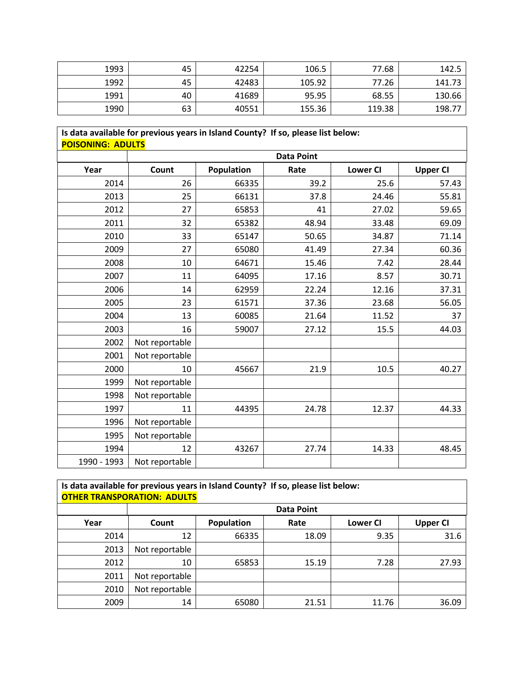| 1993 | 45 | 42254 | 106.5  | 77.68  | 142.5  |
|------|----|-------|--------|--------|--------|
| 1992 | 45 | 42483 | 105.92 | 77.26  | 141.73 |
| 1991 | 40 | 41689 | 95.95  | 68.55  | 130.66 |
| 1990 | 63 | 40551 | 155.36 | 119.38 | 198.77 |

### **Is data available for previous years in Island County? If so, please list below: POISONING: ADULTS**

|             | <b>Data Point</b> |                   |       |                 |                 |
|-------------|-------------------|-------------------|-------|-----------------|-----------------|
| Year        | Count             | <b>Population</b> | Rate  | <b>Lower CI</b> | <b>Upper CI</b> |
| 2014        | 26                | 66335             | 39.2  | 25.6            | 57.43           |
| 2013        | 25                | 66131             | 37.8  | 24.46           | 55.81           |
| 2012        | 27                | 65853             | 41    | 27.02           | 59.65           |
| 2011        | 32                | 65382             | 48.94 | 33.48           | 69.09           |
| 2010        | 33                | 65147             | 50.65 | 34.87           | 71.14           |
| 2009        | 27                | 65080             | 41.49 | 27.34           | 60.36           |
| 2008        | 10                | 64671             | 15.46 | 7.42            | 28.44           |
| 2007        | 11                | 64095             | 17.16 | 8.57            | 30.71           |
| 2006        | 14                | 62959             | 22.24 | 12.16           | 37.31           |
| 2005        | 23                | 61571             | 37.36 | 23.68           | 56.05           |
| 2004        | 13                | 60085             | 21.64 | 11.52           | 37              |
| 2003        | 16                | 59007             | 27.12 | 15.5            | 44.03           |
| 2002        | Not reportable    |                   |       |                 |                 |
| 2001        | Not reportable    |                   |       |                 |                 |
| 2000        | 10                | 45667             | 21.9  | 10.5            | 40.27           |
| 1999        | Not reportable    |                   |       |                 |                 |
| 1998        | Not reportable    |                   |       |                 |                 |
| 1997        | 11                | 44395             | 24.78 | 12.37           | 44.33           |
| 1996        | Not reportable    |                   |       |                 |                 |
| 1995        | Not reportable    |                   |       |                 |                 |
| 1994        | 12                | 43267             | 27.74 | 14.33           | 48.45           |
| 1990 - 1993 | Not reportable    |                   |       |                 |                 |

## **Is data available for previous years in Island County? If so, please list below: OTHER TRANSPORATION: ADULTS**

|      |                |            | <b>Data Point</b> |                 |                 |
|------|----------------|------------|-------------------|-----------------|-----------------|
| Year | Count          | Population | Rate              | <b>Lower CI</b> | <b>Upper CI</b> |
| 2014 | 12             | 66335      | 18.09             | 9.35            | 31.6            |
| 2013 | Not reportable |            |                   |                 |                 |
| 2012 | 10             | 65853      | 15.19             | 7.28            | 27.93           |
| 2011 | Not reportable |            |                   |                 |                 |
| 2010 | Not reportable |            |                   |                 |                 |
| 2009 | 14             | 65080      | 21.51             | 11.76           | 36.09           |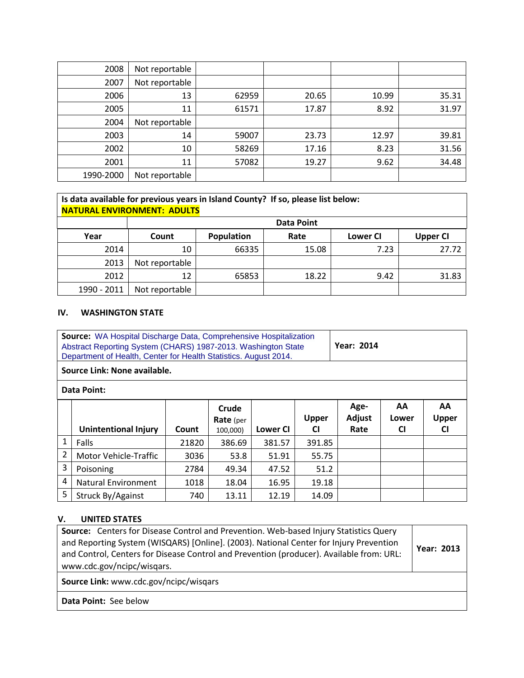| 2008      | Not reportable |       |       |       |       |
|-----------|----------------|-------|-------|-------|-------|
| 2007      | Not reportable |       |       |       |       |
| 2006      | 13             | 62959 | 20.65 | 10.99 | 35.31 |
| 2005      | 11             | 61571 | 17.87 | 8.92  | 31.97 |
| 2004      | Not reportable |       |       |       |       |
| 2003      | 14             | 59007 | 23.73 | 12.97 | 39.81 |
| 2002      | 10             | 58269 | 17.16 | 8.23  | 31.56 |
| 2001      | 11             | 57082 | 19.27 | 9.62  | 34.48 |
| 1990-2000 | Not reportable |       |       |       |       |

**Is data available for previous years in Island County? If so, please list below: NATURAL ENVIRONMENT: ADULTS**

|             | <b>Data Point</b> |                   |       |          |                 |
|-------------|-------------------|-------------------|-------|----------|-----------------|
| Year        | Count             | <b>Population</b> | Rate  | Lower CI | <b>Upper CI</b> |
| 2014        | 10                | 66335             | 15.08 | 7.23     | 27.72           |
| 2013        | Not reportable    |                   |       |          |                 |
| 2012        | 12                | 65853             | 18.22 | 9.42     | 31.83           |
| 1990 - 2011 | Not reportable    |                   |       |          |                 |

### **IV. WASHINGTON STATE**

| <b>Source:</b> WA Hospital Discharge Data, Comprehensive Hospitalization<br>Abstract Reporting System (CHARS) 1987-2013. Washington State<br>Department of Health, Center for Health Statistics. August 2014. | <b>Year: 2014</b> |
|---------------------------------------------------------------------------------------------------------------------------------------------------------------------------------------------------------------|-------------------|
|---------------------------------------------------------------------------------------------------------------------------------------------------------------------------------------------------------------|-------------------|

# **Source Link: None available.**

|                | <b>Unintentional Injury</b> | Count | Crude<br><b>Rate</b> (per<br>100,000) | <b>Lower CI</b> | <b>Upper</b><br><b>CI</b> | Age-<br>Adjust<br>Rate | AA<br>Lower<br>CI | AA<br>Upper<br>СI |
|----------------|-----------------------------|-------|---------------------------------------|-----------------|---------------------------|------------------------|-------------------|-------------------|
| 1              | Falls                       | 21820 | 386.69                                | 381.57          | 391.85                    |                        |                   |                   |
| $\overline{2}$ | Motor Vehicle-Traffic       | 3036  | 53.8                                  | 51.91           | 55.75                     |                        |                   |                   |
| 3              | Poisoning                   | 2784  | 49.34                                 | 47.52           | 51.2                      |                        |                   |                   |
| 4              | <b>Natural Environment</b>  | 1018  | 18.04                                 | 16.95           | 19.18                     |                        |                   |                   |
| 5              | Struck By/Against           | 740   | 13.11                                 | 12.19           | 14.09                     |                        |                   |                   |

### **V. UNITED STATES**

| Source: Centers for Disease Control and Prevention. Web-based Injury Statistics Query<br>and Reporting System (WISQARS) [Online]. (2003). National Center for Injury Prevention<br>and Control, Centers for Disease Control and Prevention (producer). Available from: URL:<br>www.cdc.gov/ncipc/wisqars. | <b>Year: 2013</b> |  |  |  |  |
|-----------------------------------------------------------------------------------------------------------------------------------------------------------------------------------------------------------------------------------------------------------------------------------------------------------|-------------------|--|--|--|--|
| <b>Source Link:</b> www.cdc.gov/ncipc/wisgars                                                                                                                                                                                                                                                             |                   |  |  |  |  |
| Data Point: See below                                                                                                                                                                                                                                                                                     |                   |  |  |  |  |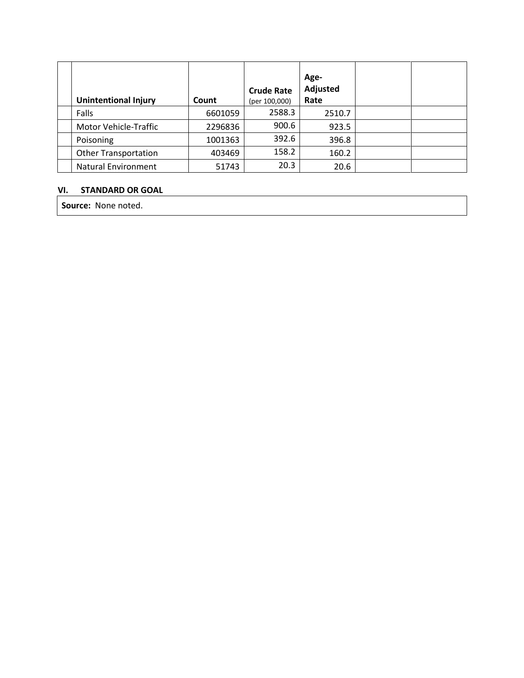| <b>Unintentional Injury</b>  | Count   | <b>Crude Rate</b><br>(per 100,000) | Age-<br>Adjusted<br>Rate |  |
|------------------------------|---------|------------------------------------|--------------------------|--|
| Falls                        | 6601059 | 2588.3                             | 2510.7                   |  |
| <b>Motor Vehicle-Traffic</b> | 2296836 | 900.6                              | 923.5                    |  |
| Poisoning                    | 1001363 | 392.6                              | 396.8                    |  |
| <b>Other Transportation</b>  | 403469  | 158.2                              | 160.2                    |  |
| <b>Natural Environment</b>   | 51743   | 20.3                               | 20.6                     |  |

### **VI. STANDARD OR GOAL**

**Source:** None noted.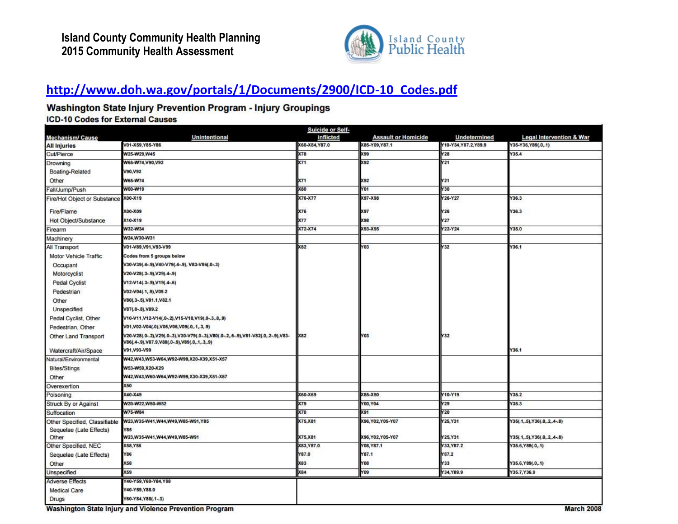

# **[http://www.doh.wa.gov/portals/1/Documents/2900/ICD-10\\_Codes.pdf](http://www.doh.wa.gov/portals/1/Documents/2900/ICD-10_Codes.pdf)**

# Washington State Injury Prevention Program - Injury Groupings

### **ICD-10 Codes for External Causes**

| <b>Mechanism/ Cause</b>              | <b>Unintentional</b>                                                                                                                     | Suicide or Self-<br><b>inflicted</b> | <b>Assault or Homicide</b> | Undetermined          | Legal Intervention & War     |
|--------------------------------------|------------------------------------------------------------------------------------------------------------------------------------------|--------------------------------------|----------------------------|-----------------------|------------------------------|
| <b>All Injuries</b>                  | V01-X59, Y85-Y86                                                                                                                         | X60-X84, Y87.0                       | X85-Y09, Y87.1             | Y10-Y34, Y87.2, Y89.9 | Y35-Y36, Y89(.0,.1)          |
| Cut/Pierce                           | W25-W29,W45                                                                                                                              | <b>X78</b>                           | X99                        | Y28                   | Y35.4                        |
| Drowning                             | W65-W74.V90.V92                                                                                                                          | X71                                  | X92                        | Y21                   |                              |
| Boating-Related                      | V90.V92                                                                                                                                  |                                      |                            |                       |                              |
| Other                                | W65-W74                                                                                                                                  | X71                                  | X92                        | Y21                   |                              |
| Fall/Jump/Push                       | W00-W19                                                                                                                                  | <b>X80</b>                           | Y01                        | Y30                   |                              |
| Fire/Hot Object or Substance X00-X19 |                                                                                                                                          | X76-X77                              | X97-X98                    | 26-Y27                | Y36.3                        |
| Fire/Flame                           | X00-X09                                                                                                                                  | X76                                  | X97                        | Y26                   | Y36.3                        |
| Hot Object/Substance                 | X10-X19                                                                                                                                  | <b>X77</b>                           | X98                        | Y27                   |                              |
| Firearm                              | W32-W34                                                                                                                                  | X72-X74                              | X93-X95                    | Y22-Y24               | Y35.0                        |
| Machinery                            | W24,W30-W31                                                                                                                              |                                      |                            |                       |                              |
| All Transport                        | V01-V89,V91,V93-V99                                                                                                                      | x82                                  | Y03                        | Y32                   | Y36.1                        |
| Motor Vehicle Traffic                | Codes from 5 groups below                                                                                                                |                                      |                            |                       |                              |
| Occupant                             | V30-V39(.4-.9), V40-V79(.4-.9), V83-V86(.0-.3)                                                                                           |                                      |                            |                       |                              |
| Motorcyclist                         | V20-V28(.3-.9), V29).4-.9)                                                                                                               |                                      |                            |                       |                              |
| Pedal Cyclist                        | V12-V14(.3-.9), V19(.4-.6)                                                                                                               |                                      |                            |                       |                              |
| Pedestrian                           | V02-V04(.1,.9), V09.2                                                                                                                    |                                      |                            |                       |                              |
| Other                                | V80(.3-.5), V81.1, V82.1                                                                                                                 |                                      |                            |                       |                              |
| Unspecified                          | V87(.0-.8), V89.2                                                                                                                        |                                      |                            |                       |                              |
| Pedal Cyclist, Other                 | V10-V11, V12-V14(.0-.2), V15-V18, V19(.0-.3,.8,.9)                                                                                       |                                      |                            |                       |                              |
| Pedestrian, Other                    | V01, V02-V04(.0), V05, V06, V09(.0,.1,.3,.9)                                                                                             |                                      |                            |                       |                              |
| Other Land Transport                 | V20-V28(.0-.2), V29(.0-.3), V30-V79(.0-.3), V80(.0-.2,.6-.9), V81-V82(.0,.2-.9), V83-<br>V86(.4-.9), V87.9, V88(.0-.9), V89(.0,.1,.3,.9) | <b>X82</b>                           | Y03                        | Y32                   |                              |
| Watercraft/Air/Space                 | V91.V93-V99                                                                                                                              |                                      |                            |                       | Y36.1                        |
| Natural/Environmental                | W42,W43,W53-W64,W92-W99,X20-X39,X51-X57                                                                                                  |                                      |                            |                       |                              |
| Bites/Stings                         | W53-W59,X20-X29                                                                                                                          |                                      |                            |                       |                              |
| Other                                | W42,W43,W60-W64,W92-W99,X30-X39,X51-X57                                                                                                  |                                      |                            |                       |                              |
| Overexertion                         | X50                                                                                                                                      |                                      |                            |                       |                              |
| Poisoning                            | X40-X49                                                                                                                                  | X60-X69                              | X85-X90                    | Y10-Y19               | Y35.2                        |
| Struck By or Against                 | W20-W22,W50-W52                                                                                                                          | X79                                  | Y00, Y04                   | Y29                   | Y35.3                        |
| Suffocation                          | W75-W84                                                                                                                                  | <b>X70</b>                           | X91                        | Y20                   |                              |
| Other Specified, Classifiable        | W23,W35-W41,W44,W49,W85-W91,Y85                                                                                                          | <b>X75, X81</b>                      | X96, Y02, Y05-Y07          | Y25, Y31              | Y35(.1,.5), Y36(.0,.2,.4-.8) |
| Sequelae (Late Effects)              | Y85                                                                                                                                      |                                      |                            |                       |                              |
| Other                                | W23, W35-W41, W44, W49, W85-W91                                                                                                          | X75, X81                             | X96, Y02, Y05-Y07          | Y25, Y31              | Y35(.1,.5), Y36(.0,.2,.4-.8) |
| Other Specified, NEC                 | X58, Y86                                                                                                                                 | X83, Y87.0                           | Y08, Y87.1                 | Y33, Y87.2            | Y35.6, Y89(.0,.1)            |
| Sequelae (Late Effects)              | Y86                                                                                                                                      | Y87.0                                | Y87.1                      | Y87.2                 |                              |
| Other                                | <b>X58</b>                                                                                                                               | <b>X83</b>                           | Y08                        | Y33                   | Y35.6, Y89(.0,.1)            |
| Unspecified                          | X59                                                                                                                                      | <b>X84</b>                           | Y09                        | Y34, Y89.9            | Y35.7, Y36.9                 |
| <b>Adverse Effects</b>               | Y40-Y59, Y60-Y84, Y88                                                                                                                    |                                      |                            |                       |                              |
| <b>Medical Care</b>                  | Y40-Y59, Y88.0                                                                                                                           |                                      |                            |                       |                              |
| Drugs                                | Y60-Y84, Y88(.1-.3)                                                                                                                      |                                      |                            |                       |                              |

Washington State Injury and Violence Prevention Program